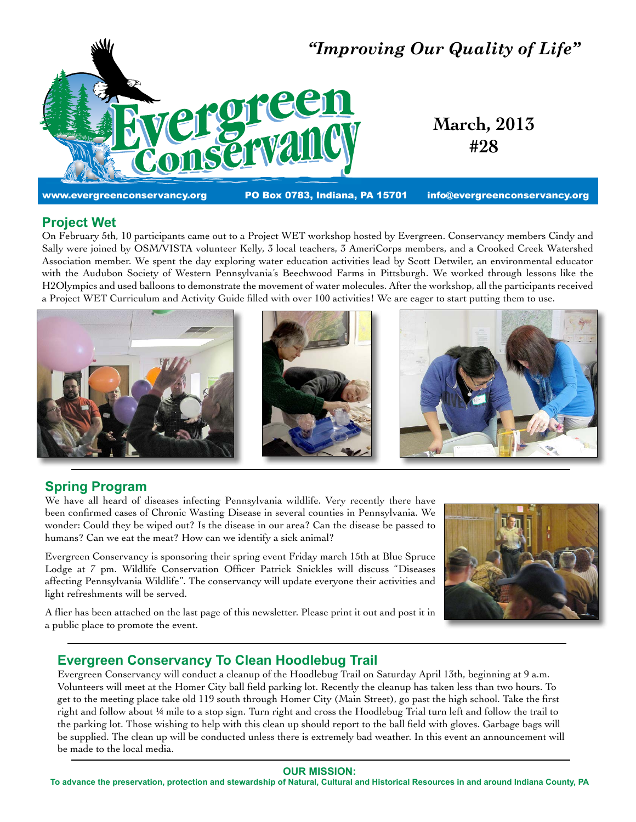

# **Project Wet**

On February 5th, 10 participants came out to a Project WET workshop hosted by Evergreen. Conservancy members Cindy and Sally were joined by OSM/VISTA volunteer Kelly, 3 local teachers, 3 AmeriCorps members, and a Crooked Creek Watershed Association member. We spent the day exploring water education activities lead by Scott Detwiler, an environmental educator with the Audubon Society of Western Pennsylvania's Beechwood Farms in Pittsburgh. We worked through lessons like the H2Olympics and used balloons to demonstrate the movement of water molecules. After the workshop, all the participants received a Project WET Curriculum and Activity Guide filled with over 100 activities! We are eager to start putting them to use.



# **Spring Program**

We have all heard of diseases infecting Pennsylvania wildlife. Very recently there have been confirmed cases of Chronic Wasting Disease in several counties in Pennsylvania. We wonder: Could they be wiped out? Is the disease in our area? Can the disease be passed to humans? Can we eat the meat? How can we identify a sick animal?

Evergreen Conservancy is sponsoring their spring event Friday march 15th at Blue Spruce Lodge at 7 pm. Wildlife Conservation Officer Patrick Snickles will discuss "Diseases affecting Pennsylvania Wildlife". The conservancy will update everyone their activities and light refreshments will be served.

A flier has been attached on the last page of this newsletter. Please print it out and post it in a public place to promote the event.



# **Evergreen Conservancy To Clean Hoodlebug Trail**

Evergreen Conservancy will conduct a cleanup of the Hoodlebug Trail on Saturday April 13th, beginning at 9 a.m. Volunteers will meet at the Homer City ball field parking lot. Recently the cleanup has taken less than two hours. To get to the meeting place take old 119 south through Homer City (Main Street), go past the high school. Take the first right and follow about ¼ mile to a stop sign. Turn right and cross the Hoodlebug Trial turn left and follow the trail to the parking lot. Those wishing to help with this clean up should report to the ball field with gloves. Garbage bags will be supplied. The clean up will be conducted unless there is extremely bad weather. In this event an announcement will be made to the local media.

#### **OUR MISSION: To advance the preservation, protection and stewardship of Natural, Cultural and Historical Resources in and around Indiana County, PA**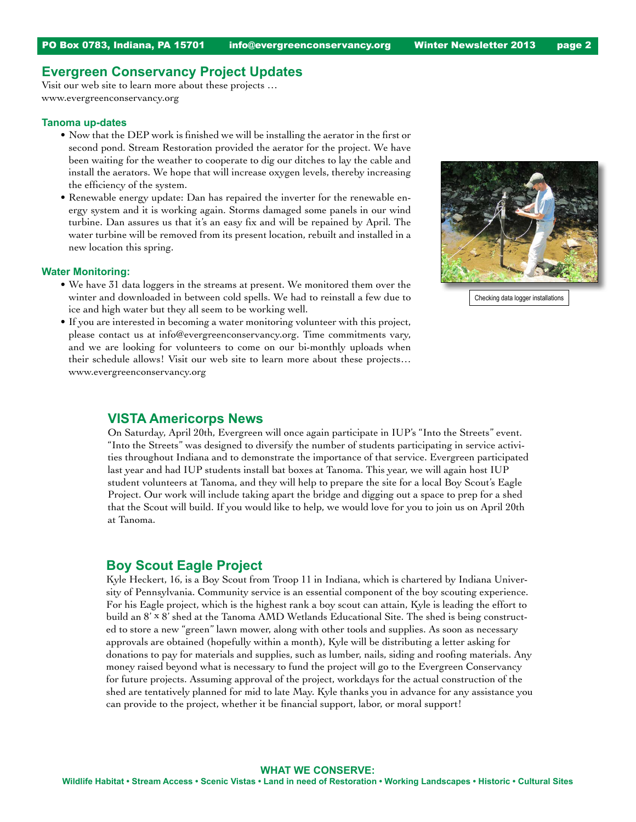## **Evergreen Conservancy Project Updates**

Visit our web site to learn more about these projects … www.evergreenconservancy.org

#### **Tanoma up-dates**

- Now that the DEP work is finished we will be installing the aerator in the first or second pond. Stream Restoration provided the aerator for the project. We have been waiting for the weather to cooperate to dig our ditches to lay the cable and install the aerators. We hope that will increase oxygen levels, thereby increasing the efficiency of the system.
- Renewable energy update: Dan has repaired the inverter for the renewable energy system and it is working again. Storms damaged some panels in our wind turbine. Dan assures us that it's an easy fix and will be repained by April. The water turbine will be removed from its present location, rebuilt and installed in a new location this spring.

#### **Water Monitoring:**

- We have 31 data loggers in the streams at present. We monitored them over the winter and downloaded in between cold spells. We had to reinstall a few due to ice and high water but they all seem to be working well.
- If you are interested in becoming a water monitoring volunteer with this project, please contact us at info@evergreenconservancy.org. Time commitments vary, and we are looking for volunteers to come on our bi-monthly uploads when their schedule allows! Visit our web site to learn more about these projects… www.evergreenconservancy.org



#### **VISTA Americorps News**

On Saturday, April 20th, Evergreen will once again participate in IUP's "Into the Streets" event. "Into the Streets" was designed to diversify the number of students participating in service activities throughout Indiana and to demonstrate the importance of that service. Evergreen participated last year and had IUP students install bat boxes at Tanoma. This year, we will again host IUP student volunteers at Tanoma, and they will help to prepare the site for a local Boy Scout's Eagle Project. Our work will include taking apart the bridge and digging out a space to prep for a shed that the Scout will build. If you would like to help, we would love for you to join us on April 20th at Tanoma.

### **Boy Scout Eagle Project**

Kyle Heckert, 16, is a Boy Scout from Troop 11 in Indiana, which is chartered by Indiana University of Pennsylvania. Community service is an essential component of the boy scouting experience. For his Eagle project, which is the highest rank a boy scout can attain, Kyle is leading the effort to build an 8' x 8' shed at the Tanoma AMD Wetlands Educational Site. The shed is being constructed to store a new "green" lawn mower, along with other tools and supplies. As soon as necessary approvals are obtained (hopefully within a month), Kyle will be distributing a letter asking for donations to pay for materials and supplies, such as lumber, nails, siding and roofing materials. Any money raised beyond what is necessary to fund the project will go to the Evergreen Conservancy for future projects. Assuming approval of the project, workdays for the actual construction of the shed are tentatively planned for mid to late May. Kyle thanks you in advance for any assistance you can provide to the project, whether it be financial support, labor, or moral support!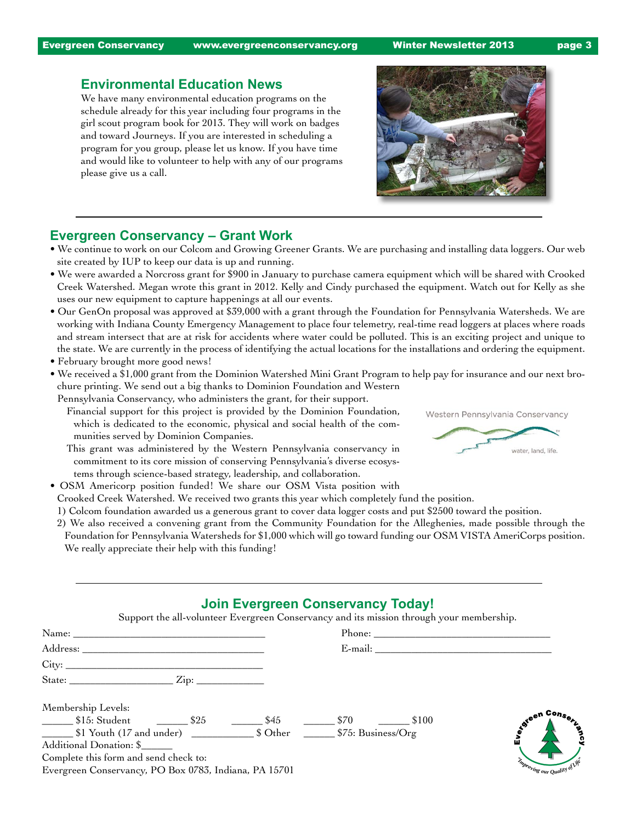Evergreen Conservancy www.evergreenconservancy.org Winter Newsletter 2013 page 3

## **Environmental Education News**

We have many environmental education programs on the schedule already for this year including four programs in the girl scout program book for 2013. They will work on badges and toward Journeys. If you are interested in scheduling a program for you group, please let us know. If you have time and would like to volunteer to help with any of our programs please give us a call.



# **Evergreen Conservancy – Grant Work**

- We continue to work on our Colcom and Growing Greener Grants. We are purchasing and installing data loggers. Our web site created by IUP to keep our data is up and running.
- We were awarded a Norcross grant for \$900 in January to purchase camera equipment which will be shared with Crooked Creek Watershed. Megan wrote this grant in 2012. Kelly and Cindy purchased the equipment. Watch out for Kelly as she uses our new equipment to capture happenings at all our events.
- Our GenOn proposal was approved at \$39,000 with a grant through the Foundation for Pennsylvania Watersheds. We are working with Indiana County Emergency Management to place four telemetry, real-time read loggers at places where roads and stream intersect that are at risk for accidents where water could be polluted. This is an exciting project and unique to the state. We are currently in the process of identifying the actual locations for the installations and ordering the equipment.
- February brought more good news!
- We received a \$1,000 grant from the Dominion Watershed Mini Grant Program to help pay for insurance and our next brochure printing. We send out a big thanks to Dominion Foundation and Western
	- Pennsylvania Conservancy, who administers the grant, for their support. Financial support for this project is provided by the Dominion Foundation, which is dedicated to the economic, physical and social health of the communities served by Dominion Companies.
		- This grant was administered by the Western Pennsylvania conservancy in commitment to its core mission of conserving Pennsylvania's diverse ecosystems through science-based strategy, leadership, and collaboration.
- OSM Americorp position funded! We share our OSM Vista position with Crooked Creek Watershed. We received two grants this year which completely fund the position.
	- 1) Colcom foundation awarded us a generous grant to cover data logger costs and put \$2500 toward the position.
	- 2) We also received a convening grant from the Community Foundation for the Alleghenies, made possible through the Foundation for Pennsylvania Watersheds for \$1,000 which will go toward funding our OSM VISTA AmeriCorps position. We really appreciate their help with this funding!

|  |  | <b>Join Evergreen Conservancy Today!</b> |  |
|--|--|------------------------------------------|--|
|--|--|------------------------------------------|--|

Support the all-volunteer Evergreen Conservancy and its mission through your membership.

|                                                       | E-mail:       |                               |
|-------------------------------------------------------|---------------|-------------------------------|
|                                                       |               |                               |
|                                                       |               |                               |
| Membership Levels:                                    |               |                               |
| \$25<br>\$45                                          | \$70<br>\$100 | toteen Conserve               |
| \$1 Youth (17 and under) 50ther 575: Business/Org     |               |                               |
| Additional Donation: \$                               |               |                               |
| Complete this form and send check to:                 |               |                               |
| Evergreen Conservancy, PO Box 0783, Indiana, PA 15701 |               | Emproving our Quality of Life |

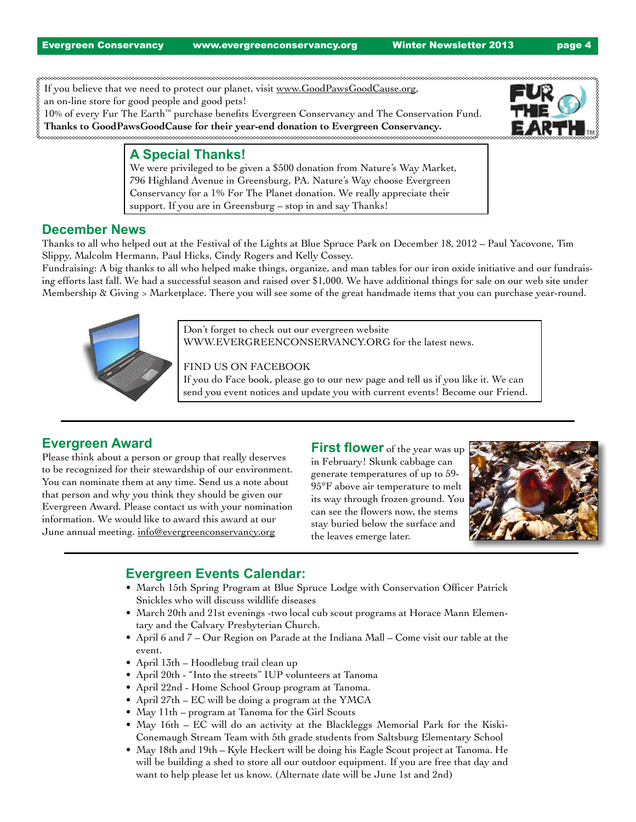If you believe that we need to protect our planet, visit www.GoodPawsGoodCause.org, an on-line store for good people and good pets! 10% of every Fur The Earth™ purchase benefits Evergreen Conservancy and The Conservation Fund. **Thanks to GoodPawsGoodCause for their year-end donation to Evergreen Conservancy.** 



# **A Special Thanks!**

We were privileged to be given a \$500 donation from Nature's Way Market, 796 Highland Avenue in Greensburg, PA. Nature's Way choose Evergreen Conservancy for a 1% For The Planet donation. We really appreciate their support. If you are in Greensburg – stop in and say Thanks!

# **December News**

Thanks to all who helped out at the Festival of the Lights at Blue Spruce Park on December 18, 2012 – Paul Yacovone, Tim Slippy, Malcolm Hermann, Paul Hicks, Cindy Rogers and Kelly Cossey.

Fundraising: A big thanks to all who helped make things, organize, and man tables for our iron oxide initiative and our fundraising efforts last fall. We had a successful season and raised over \$1,000. We have additional things for sale on our web site under Membership & Giving > Marketplace. There you will see some of the great handmade items that you can purchase year-round.



Don't forget to check out our evergreen website WWW.EVERGREENCONSERVANCY.ORG for the latest news.

#### FIND US ON FACEBOOK

If you do Face book, please go to our new page and tell us if you like it. We can send you event notices and update you with current events! Become our Friend.

# **Evergreen Award**

Please think about a person or group that really deserves to be recognized for their stewardship of our environment. You can nominate them at any time. Send us a note about that person and why you think they should be given our Evergreen Award. Please contact us with your nomination information. We would like to award this award at our June annual meeting. info@evergreenconservancy.org

**First flower** of the year was up in February! Skunk cabbage can generate temperatures of up to 59- 95°F above air temperature to melt its way through frozen ground. You can see the flowers now, the stems stay buried below the surface and the leaves emerge later.



# **Evergreen Events Calendar:**

- March 15th Spring Program at Blue Spruce Lodge with Conservation Officer Patrick Snickles who will discuss wildlife diseases
- March 20th and 21st evenings -two local cub scout programs at Horace Mann Elementary and the Calvary Presbyterian Church.
- April 6 and 7 Our Region on Parade at the Indiana Mall Come visit our table at the event.
- April 13th Hoodlebug trail clean up
- April 20th "Into the streets" IUP volunteers at Tanoma
- April 22nd Home School Group program at Tanoma.
- April 27th EC will be doing a program at the YMCA
- May 11th program at Tanoma for the Girl Scouts
- May 16th EC will do an activity at the Blackleggs Memorial Park for the Kiski-Conemaugh Stream Team with 5th grade students from Saltsburg Elementary School
- May 18th and 19th Kyle Heckert will be doing his Eagle Scout project at Tanoma. He will be building a shed to store all our outdoor equipment. If you are free that day and want to help please let us know. (Alternate date will be June 1st and 2nd)